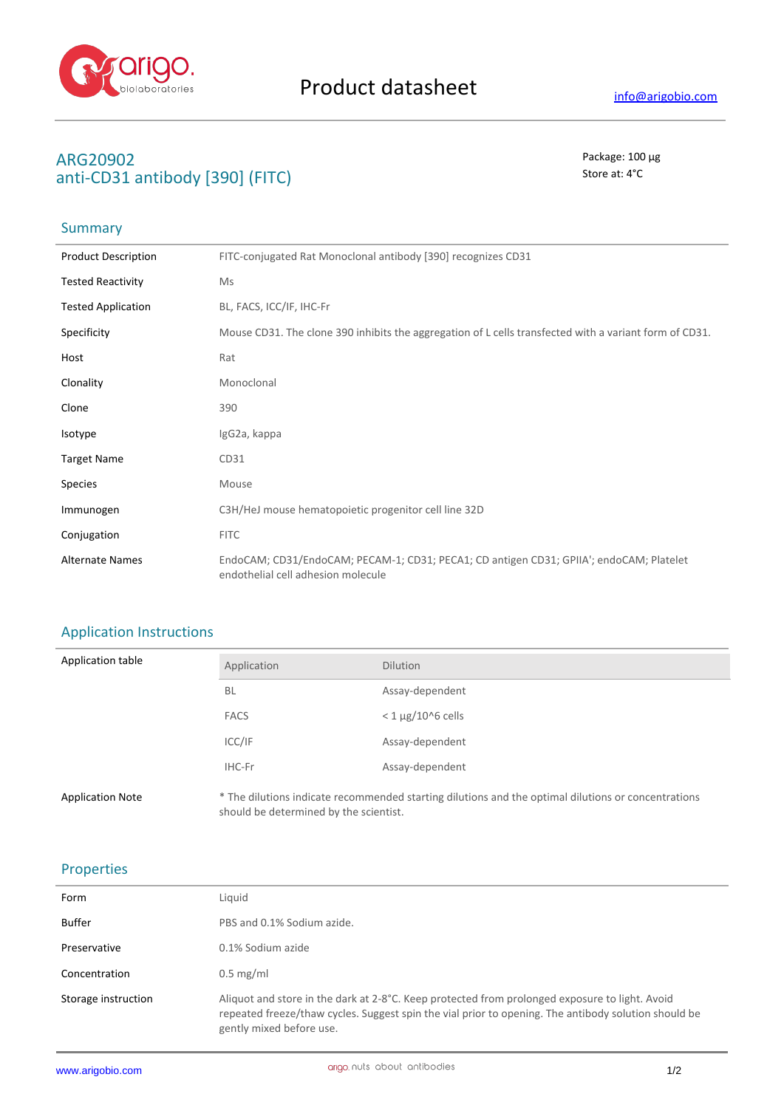

## **ARG20902** Package: 100 μg **anti-CD31 antibody [390] (FITC)** Store at: 4°C

# Summary

| <b>Product Description</b> | FITC-conjugated Rat Monoclonal antibody [390] recognizes CD31                                                                 |
|----------------------------|-------------------------------------------------------------------------------------------------------------------------------|
| <b>Tested Reactivity</b>   | Ms                                                                                                                            |
| <b>Tested Application</b>  | BL, FACS, ICC/IF, IHC-Fr                                                                                                      |
| Specificity                | Mouse CD31. The clone 390 inhibits the aggregation of L cells transfected with a variant form of CD31.                        |
| Host                       | Rat                                                                                                                           |
| Clonality                  | Monoclonal                                                                                                                    |
| Clone                      | 390                                                                                                                           |
| Isotype                    | IgG2a, kappa                                                                                                                  |
| <b>Target Name</b>         | CD31                                                                                                                          |
| <b>Species</b>             | Mouse                                                                                                                         |
| Immunogen                  | C3H/HeJ mouse hematopoietic progenitor cell line 32D                                                                          |
| Conjugation                | <b>FITC</b>                                                                                                                   |
| <b>Alternate Names</b>     | EndoCAM; CD31/EndoCAM; PECAM-1; CD31; PECA1; CD antigen CD31; GPIIA'; endoCAM; Platelet<br>endothelial cell adhesion molecule |

## Application Instructions

| Application table       | Application                            | <b>Dilution</b>                                                                                     |
|-------------------------|----------------------------------------|-----------------------------------------------------------------------------------------------------|
|                         | <b>BL</b>                              | Assay-dependent                                                                                     |
|                         | <b>FACS</b>                            | $<$ 1 $\mu$ g/10^6 cells                                                                            |
|                         | ICC/IF                                 | Assay-dependent                                                                                     |
|                         | IHC-Fr                                 | Assay-dependent                                                                                     |
| <b>Application Note</b> | should be determined by the scientist. | * The dilutions indicate recommended starting dilutions and the optimal dilutions or concentrations |

#### Properties

| Form                | Liquid                                                                                                                                                                                                                             |
|---------------------|------------------------------------------------------------------------------------------------------------------------------------------------------------------------------------------------------------------------------------|
| Buffer              | PBS and 0.1% Sodium azide.                                                                                                                                                                                                         |
| Preservative        | 0.1% Sodium azide                                                                                                                                                                                                                  |
| Concentration       | $0.5 \text{ mg/ml}$                                                                                                                                                                                                                |
| Storage instruction | Aliquot and store in the dark at 2-8°C. Keep protected from prolonged exposure to light. Avoid<br>repeated freeze/thaw cycles. Suggest spin the vial prior to opening. The antibody solution should be<br>gently mixed before use. |